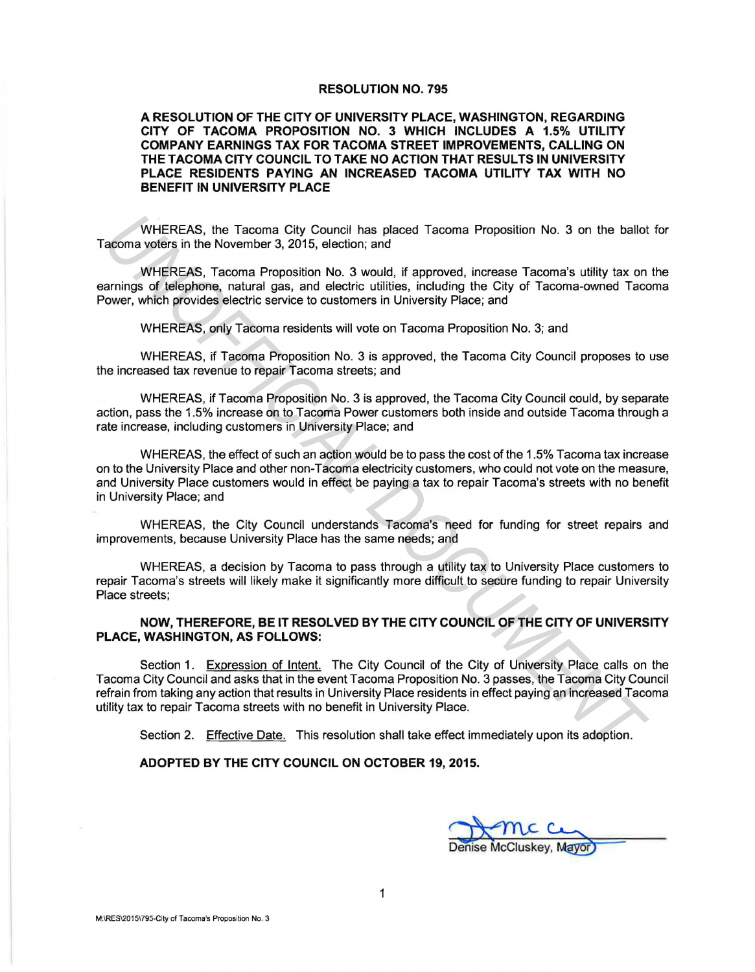## **RESOLUTION NO. 795**

## **A RESOLUTION OF THE CITY OF UNIVERSITY PLACE, WASHINGTON, REGARDING CITY OF TACOMA PROPOSITION NO. 3 WHICH INCLUDES A 1.5% UTILITY COMPANY EARNINGS TAX FOR TACOMA STREET IMPROVEMENTS, CALLING ON THE TACOMA CITY COUNCIL TO TAKE NO ACTION THAT RESULTS IN UNIVERSITY PLACE RESIDENTS PAYING AN INCREASED TACOMA UTILITY TAX WITH NO BENEFIT IN UNIVERSITY PLACE**

WHEREAS, the Tacoma City Council has placed Tacoma Proposition No. 3 on the ballot for Tacoma voters in the November 3, 2015, election; and

WHEREAS, Tacoma Proposition No. 3 would, if approved, increase Tacoma's utility tax on the earnings of telephone, natural gas, and electric utilities, including the City of Tacoma-owned Tacoma Power, which provides electric service to customers in University Place; and

WHEREAS, only Tacoma residents will vote on Tacoma Proposition No. 3; and

WHEREAS, if Tacoma Proposition No. 3 is approved, the Tacoma City Council proposes to use the increased tax revenue to repair Tacoma streets; and

WHEREAS, if Tacoma Proposition No. 3 is approved, the Tacoma City Council could, by separate action, pass the 1.5% increase on to Tacoma Power customers both inside and outside Tacoma through a rate increase, including customers in University Place; and

WHEREAS, the effect of such an action would be to pass the cost of the 1.5% Tacoma tax increase on to the University Place and other non-Tacoma electricity customers, who could not vote on the measure, and University Place customers would in effect be paying a tax to repair Tacoma's streets with no benefit in University Place; and WHEREAS, the Tacoma City Council has placed Tacoma Proposition No. 3 on the ballot<br>
whierReAS, Tacoma Proposition No. 3 would, if approved, increase Tacoma's utility tax on<br>
WHEREAS, Tacoma Proposition No. 3 would, if appr

WHEREAS, the City Council understands Tacoma's need for funding for street repairs and improvements, because University Place has the same needs; and

WHEREAS, a decision by Tacoma to pass through a utility tax to University Place customers to repair Tacoma's streets will likely make it significantly more difficult to secure funding to repair University Place streets;

## **NOW, THEREFORE, BE IT RESOLVED BY THE CITY COUNCIL OF THE CITY OF UNIVERSITY PLACE, WASHINGTON, AS FOLLOWS:**

Section 1. Expression of Intent. The City Council of the City of University Place calls on the Tacoma City Council and asks that in the event Tacoma Proposition No. 3 passes, the Tacoma City Council refrain from taking any action that results in University Place residents in effect paying an increased Tacoma utility tax to repair Tacoma streets with no benefit in University Place.

Section 2. Effective Date. This resolution shall take effect immediately upon its adoption.

## **ADOPTED BY THE CITY COUNCIL ON OCTOBER 19, 2015.**

se McCluskey, Mayor